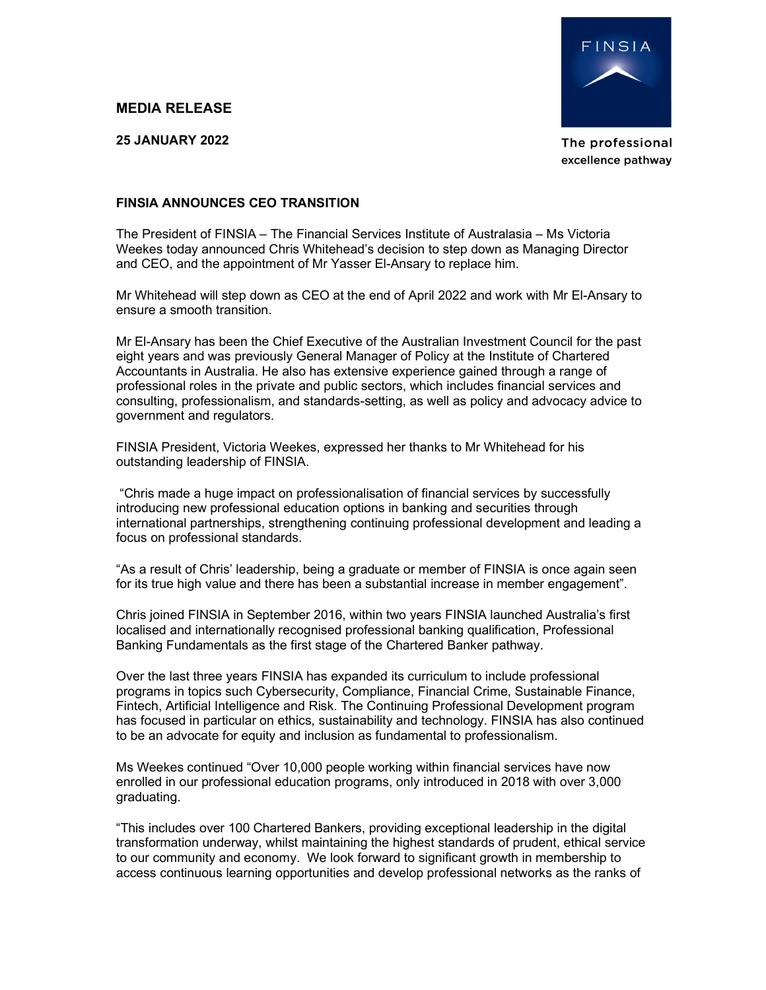## MEDIA RELEASE

25 JANUARY 2022



The professional excellence pathway

## FINSIA ANNOUNCES CEO TRANSITION

The President of FINSIA – The Financial Services Institute of Australasia – Ms Victoria Weekes today announced Chris Whitehead's decision to step down as Managing Director and CEO, and the appointment of Mr Yasser El-Ansary to replace him.

Mr Whitehead will step down as CEO at the end of April 2022 and work with Mr El-Ansary to ensure a smooth transition.

Mr El-Ansary has been the Chief Executive of the Australian Investment Council for the past eight years and was previously General Manager of Policy at the Institute of Chartered Accountants in Australia. He also has extensive experience gained through a range of professional roles in the private and public sectors, which includes financial services and consulting, professionalism, and standards-setting, as well as policy and advocacy advice to government and regulators.

FINSIA President, Victoria Weekes, expressed her thanks to Mr Whitehead for his outstanding leadership of FINSIA.

 "Chris made a huge impact on professionalisation of financial services by successfully introducing new professional education options in banking and securities through international partnerships, strengthening continuing professional development and leading a focus on professional standards.

"As a result of Chris' leadership, being a graduate or member of FINSIA is once again seen for its true high value and there has been a substantial increase in member engagement".

Chris joined FINSIA in September 2016, within two years FINSIA launched Australia's first localised and internationally recognised professional banking qualification, Professional Banking Fundamentals as the first stage of the Chartered Banker pathway.

Over the last three years FINSIA has expanded its curriculum to include professional programs in topics such Cybersecurity, Compliance, Financial Crime, Sustainable Finance, Fintech, Artificial Intelligence and Risk. The Continuing Professional Development program has focused in particular on ethics, sustainability and technology. FINSIA has also continued to be an advocate for equity and inclusion as fundamental to professionalism.

Ms Weekes continued "Over 10,000 people working within financial services have now enrolled in our professional education programs, only introduced in 2018 with over 3,000 graduating.

"This includes over 100 Chartered Bankers, providing exceptional leadership in the digital transformation underway, whilst maintaining the highest standards of prudent, ethical service to our community and economy. We look forward to significant growth in membership to access continuous learning opportunities and develop professional networks as the ranks of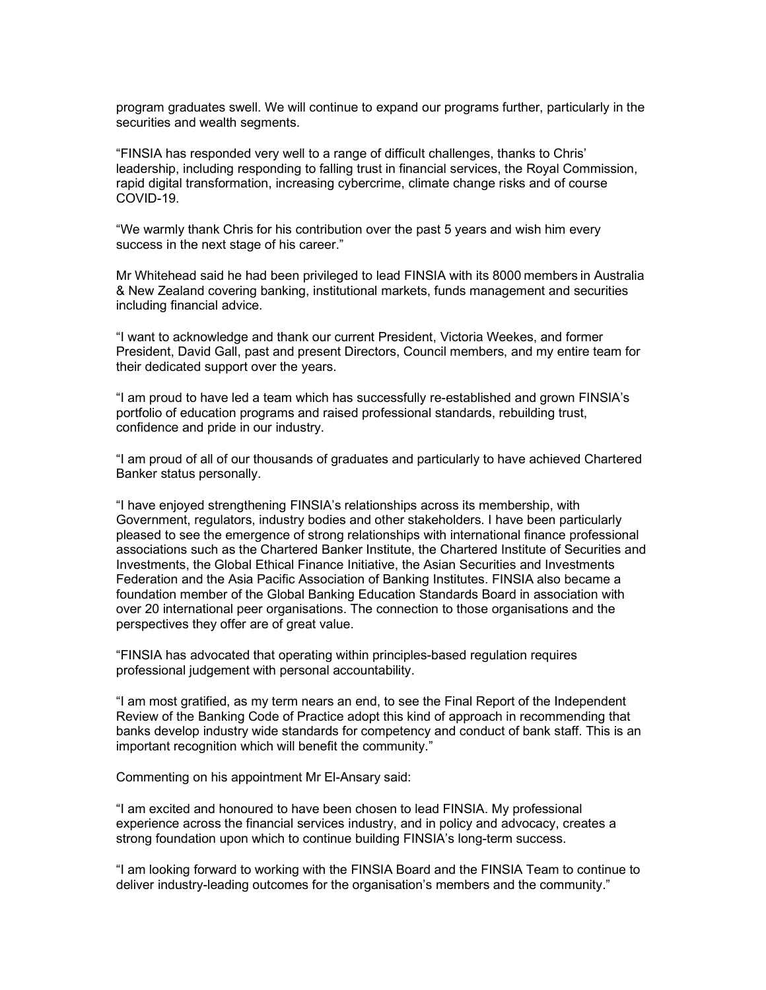program graduates swell. We will continue to expand our programs further, particularly in the securities and wealth segments.

"FINSIA has responded very well to a range of difficult challenges, thanks to Chris' leadership, including responding to falling trust in financial services, the Royal Commission, rapid digital transformation, increasing cybercrime, climate change risks and of course COVID-19.

"We warmly thank Chris for his contribution over the past 5 years and wish him every success in the next stage of his career."

Mr Whitehead said he had been privileged to lead FINSIA with its 8000 members in Australia & New Zealand covering banking, institutional markets, funds management and securities including financial advice.

"I want to acknowledge and thank our current President, Victoria Weekes, and former President, David Gall, past and present Directors, Council members, and my entire team for their dedicated support over the years.

"I am proud to have led a team which has successfully re-established and grown FINSIA's portfolio of education programs and raised professional standards, rebuilding trust, confidence and pride in our industry.

"I am proud of all of our thousands of graduates and particularly to have achieved Chartered Banker status personally.

"I have enjoyed strengthening FINSIA's relationships across its membership, with Government, regulators, industry bodies and other stakeholders. I have been particularly pleased to see the emergence of strong relationships with international finance professional associations such as the Chartered Banker Institute, the Chartered Institute of Securities and Investments, the Global Ethical Finance Initiative, the Asian Securities and Investments Federation and the Asia Pacific Association of Banking Institutes. FINSIA also became a foundation member of the Global Banking Education Standards Board in association with over 20 international peer organisations. The connection to those organisations and the perspectives they offer are of great value.

"FINSIA has advocated that operating within principles-based regulation requires professional judgement with personal accountability.

"I am most gratified, as my term nears an end, to see the Final Report of the Independent Review of the Banking Code of Practice adopt this kind of approach in recommending that banks develop industry wide standards for competency and conduct of bank staff. This is an important recognition which will benefit the community."

Commenting on his appointment Mr El-Ansary said:

"I am excited and honoured to have been chosen to lead FINSIA. My professional experience across the financial services industry, and in policy and advocacy, creates a strong foundation upon which to continue building FINSIA's long-term success.

"I am looking forward to working with the FINSIA Board and the FINSIA Team to continue to deliver industry-leading outcomes for the organisation's members and the community."